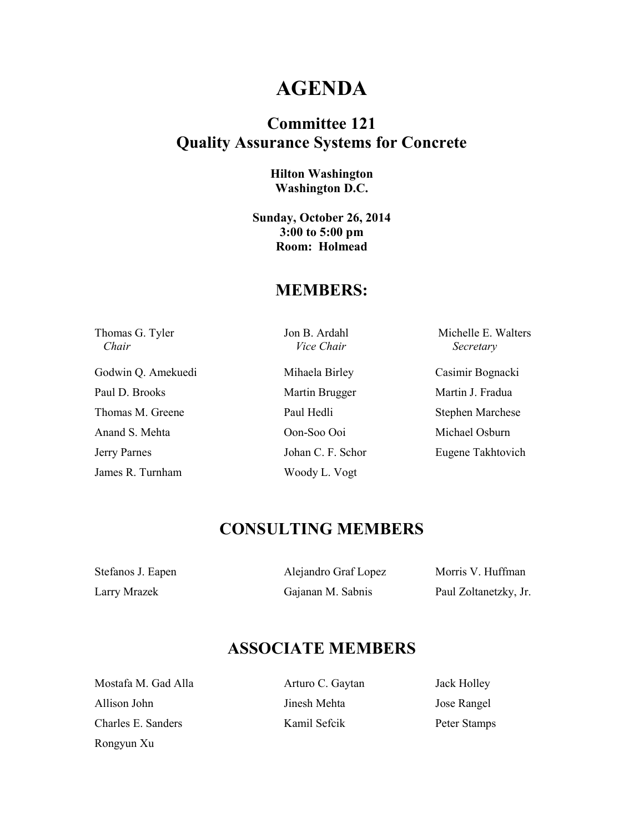## **AGENDA**

### **Committee 121 Quality Assurance Systems for Concrete**

#### **Hilton Washington Washington D.C.**

**Sunday, October 26, 2014 3:00 to 5:00 pm Room: Holmead** 

#### **MEMBERS:**

 *Chair Vice Chair Secretary* 

Godwin Q. Amekuedi Mihaela Birley Casimir Bognacki Paul D. Brooks Martin Brugger Martin J. Fradua Thomas M. Greene Paul Hedli Stephen Marchese Anand S. Mehta Oon-Soo Ooi Michael Osburn Jerry Parnes Johan C. F. Schor Eugene Takhtovich James R. Turnham Woody L. Vogt

Thomas G. Tyler Jon B. Ardahl Michelle E. Walters

### **CONSULTING MEMBERS**

| Stefanos J. Eapen | Alejandro Graf Lopez | Morris V. Huffman     |
|-------------------|----------------------|-----------------------|
| Larry Mrazek      | Gajanan M. Sabnis    | Paul Zoltanetzky, Jr. |

### **ASSOCIATE MEMBERS**

Mostafa M. Gad Alla **Arturo C. Gaytan** Jack Holley Allison John Jinesh Mehta Jose Rangel Charles E. Sanders Kamil Sefcik Peter Stamps Rongyun Xu